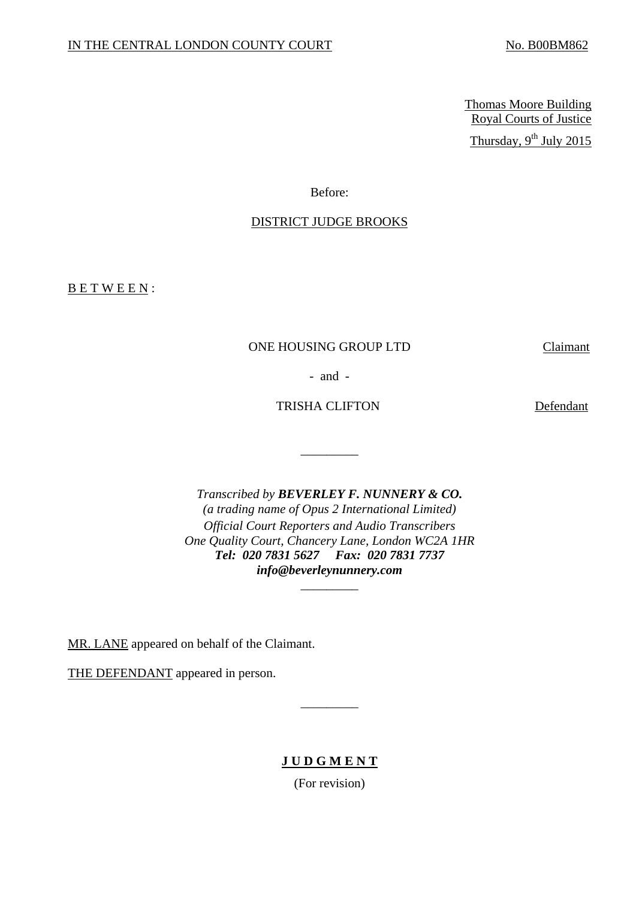Thomas Moore Building Royal Courts of Justice Thursday,  $9^{th}$  July 2015

Before:

## DISTRICT JUDGE BROOKS

B E T W E E N :

## ONE HOUSING GROUP LTD Claimant

- and -

TRISHA CLIFTON Defendant

\_\_\_\_\_\_\_\_\_

 *Tel: 020 7831 5627 Fax: 020 7831 7737 Transcribed by BEVERLEY F. NUNNERY & CO. (a trading name of Opus 2 International Limited) Official Court Reporters and Audio Transcribers One Quality Court, Chancery Lane, London WC2A 1HR info@beverleynunnery.com* 

\_\_\_\_\_\_\_\_\_

MR. LANE appeared on behalf of the Claimant.

THE DEFENDANT appeared in person.

**J U D G M E N T** 

\_\_\_\_\_\_\_\_\_

(For revision)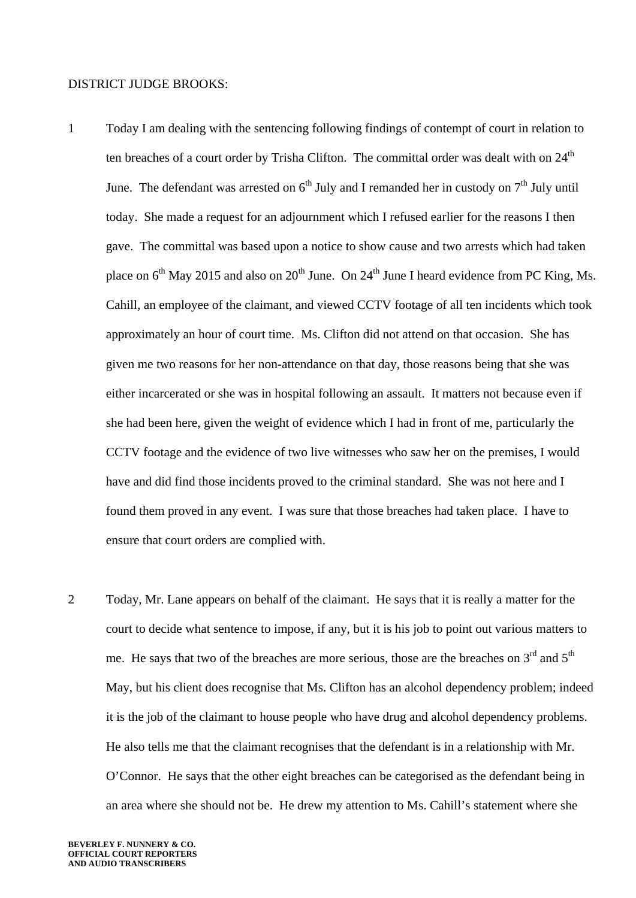## DISTRICT JUDGE BROOKS:

- 1 Today I am dealing with the sentencing following findings of contempt of court in relation to ten breaches of a court order by Trisha Clifton. The committal order was dealt with on 24<sup>th</sup> June. The defendant was arrested on  $6<sup>th</sup>$  July and I remanded her in custody on  $7<sup>th</sup>$  July until today. She made a request for an adjournment which I refused earlier for the reasons I then gave. The committal was based upon a notice to show cause and two arrests which had taken place on  $6<sup>th</sup>$  May 2015 and also on 20<sup>th</sup> June. On 24<sup>th</sup> June I heard evidence from PC King, Ms. Cahill, an employee of the claimant, and viewed CCTV footage of all ten incidents which took approximately an hour of court time. Ms. Clifton did not attend on that occasion. She has given me two reasons for her non-attendance on that day, those reasons being that she was either incarcerated or she was in hospital following an assault. It matters not because even if she had been here, given the weight of evidence which I had in front of me, particularly the CCTV footage and the evidence of two live witnesses who saw her on the premises, I would have and did find those incidents proved to the criminal standard. She was not here and I found them proved in any event. I was sure that those breaches had taken place. I have to ensure that court orders are complied with.
- 2 Today, Mr. Lane appears on behalf of the claimant. He says that it is really a matter for the court to decide what sentence to impose, if any, but it is his job to point out various matters to me. He says that two of the breaches are more serious, those are the breaches on  $3<sup>rd</sup>$  and  $5<sup>th</sup>$ May, but his client does recognise that Ms. Clifton has an alcohol dependency problem; indeed it is the job of the claimant to house people who have drug and alcohol dependency problems. He also tells me that the claimant recognises that the defendant is in a relationship with Mr. O'Connor. He says that the other eight breaches can be categorised as the defendant being in an area where she should not be. He drew my attention to Ms. Cahill's statement where she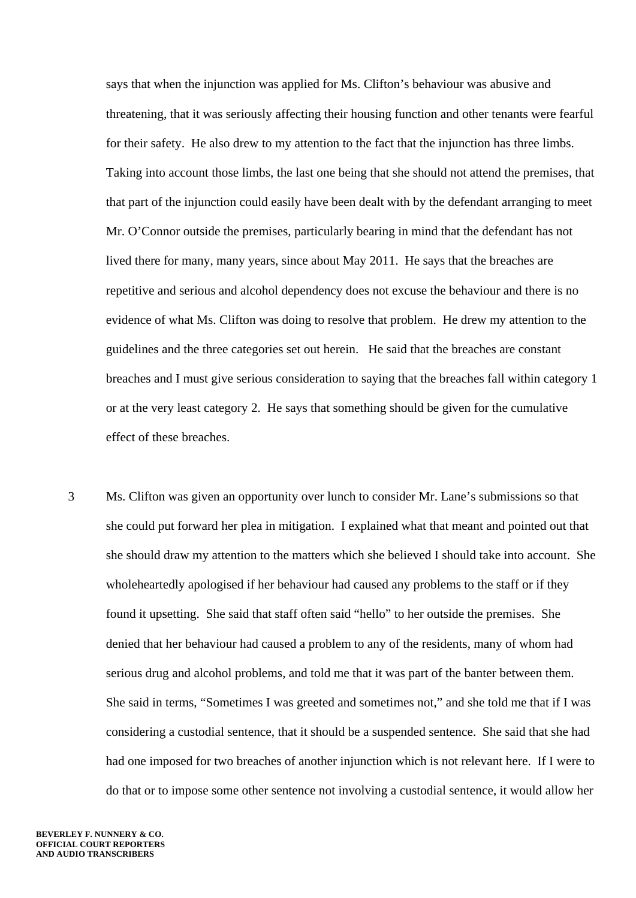says that when the injunction was applied for Ms. Clifton's behaviour was abusive and threatening, that it was seriously affecting their housing function and other tenants were fearful for their safety. He also drew to my attention to the fact that the injunction has three limbs. Taking into account those limbs, the last one being that she should not attend the premises, that that part of the injunction could easily have been dealt with by the defendant arranging to meet Mr. O'Connor outside the premises, particularly bearing in mind that the defendant has not lived there for many, many years, since about May 2011. He says that the breaches are repetitive and serious and alcohol dependency does not excuse the behaviour and there is no evidence of what Ms. Clifton was doing to resolve that problem. He drew my attention to the guidelines and the three categories set out herein. He said that the breaches are constant breaches and I must give serious consideration to saying that the breaches fall within category 1 or at the very least category 2. He says that something should be given for the cumulative effect of these breaches.

3 Ms. Clifton was given an opportunity over lunch to consider Mr. Lane's submissions so that she could put forward her plea in mitigation. I explained what that meant and pointed out that she should draw my attention to the matters which she believed I should take into account. She wholeheartedly apologised if her behaviour had caused any problems to the staff or if they found it upsetting. She said that staff often said "hello" to her outside the premises. She denied that her behaviour had caused a problem to any of the residents, many of whom had serious drug and alcohol problems, and told me that it was part of the banter between them. She said in terms, "Sometimes I was greeted and sometimes not," and she told me that if I was considering a custodial sentence, that it should be a suspended sentence. She said that she had had one imposed for two breaches of another injunction which is not relevant here. If I were to do that or to impose some other sentence not involving a custodial sentence, it would allow her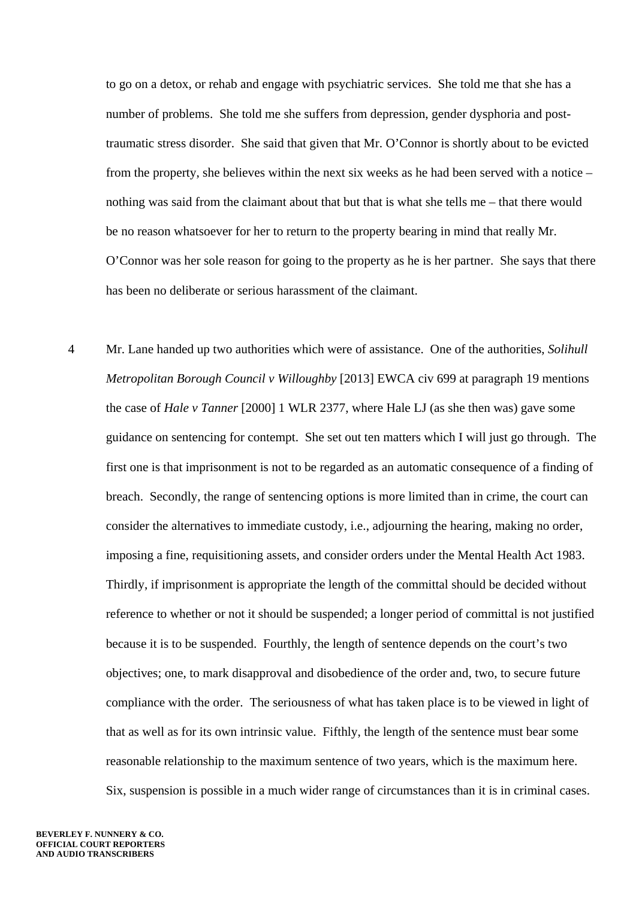to go on a detox, or rehab and engage with psychiatric services. She told me that she has a number of problems. She told me she suffers from depression, gender dysphoria and posttraumatic stress disorder. She said that given that Mr. O'Connor is shortly about to be evicted from the property, she believes within the next six weeks as he had been served with a notice – nothing was said from the claimant about that but that is what she tells me – that there would be no reason whatsoever for her to return to the property bearing in mind that really Mr. O'Connor was her sole reason for going to the property as he is her partner. She says that there has been no deliberate or serious harassment of the claimant.

4 Mr. Lane handed up two authorities which were of assistance. One of the authorities, *Solihull Metropolitan Borough Council v Willoughby* [2013] EWCA civ 699 at paragraph 19 mentions the case of *Hale v Tanner* [2000] 1 WLR 2377, where Hale LJ (as she then was) gave some guidance on sentencing for contempt. She set out ten matters which I will just go through. The first one is that imprisonment is not to be regarded as an automatic consequence of a finding of breach. Secondly, the range of sentencing options is more limited than in crime, the court can consider the alternatives to immediate custody, i.e., adjourning the hearing, making no order, imposing a fine, requisitioning assets, and consider orders under the Mental Health Act 1983. Thirdly, if imprisonment is appropriate the length of the committal should be decided without reference to whether or not it should be suspended; a longer period of committal is not justified because it is to be suspended. Fourthly, the length of sentence depends on the court's two objectives; one, to mark disapproval and disobedience of the order and, two, to secure future compliance with the order. The seriousness of what has taken place is to be viewed in light of that as well as for its own intrinsic value. Fifthly, the length of the sentence must bear some reasonable relationship to the maximum sentence of two years, which is the maximum here. Six, suspension is possible in a much wider range of circumstances than it is in criminal cases.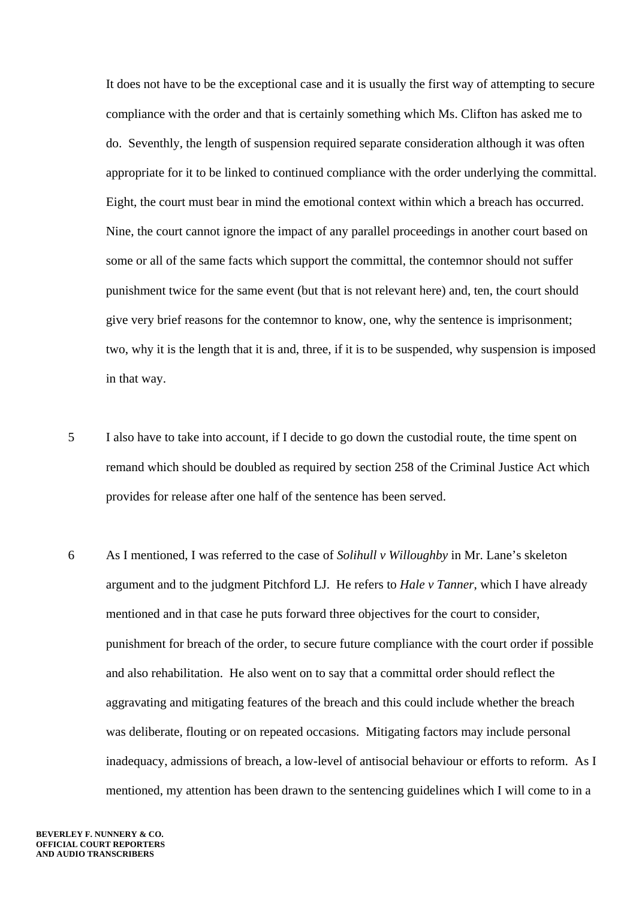It does not have to be the exceptional case and it is usually the first way of attempting to secure compliance with the order and that is certainly something which Ms. Clifton has asked me to do. Seventhly, the length of suspension required separate consideration although it was often appropriate for it to be linked to continued compliance with the order underlying the committal. Eight, the court must bear in mind the emotional context within which a breach has occurred. Nine, the court cannot ignore the impact of any parallel proceedings in another court based on some or all of the same facts which support the committal, the contemnor should not suffer punishment twice for the same event (but that is not relevant here) and, ten, the court should give very brief reasons for the contemnor to know, one, why the sentence is imprisonment; two, why it is the length that it is and, three, if it is to be suspended, why suspension is imposed in that way.

- 5 I also have to take into account, if I decide to go down the custodial route, the time spent on remand which should be doubled as required by section 258 of the Criminal Justice Act which provides for release after one half of the sentence has been served.
- 6 As I mentioned, I was referred to the case of *Solihull v Willoughby* in Mr. Lane's skeleton argument and to the judgment Pitchford LJ. He refers to *Hale v Tanner*, which I have already mentioned and in that case he puts forward three objectives for the court to consider, punishment for breach of the order, to secure future compliance with the court order if possible and also rehabilitation. He also went on to say that a committal order should reflect the aggravating and mitigating features of the breach and this could include whether the breach was deliberate, flouting or on repeated occasions. Mitigating factors may include personal inadequacy, admissions of breach, a low-level of antisocial behaviour or efforts to reform. As I mentioned, my attention has been drawn to the sentencing guidelines which I will come to in a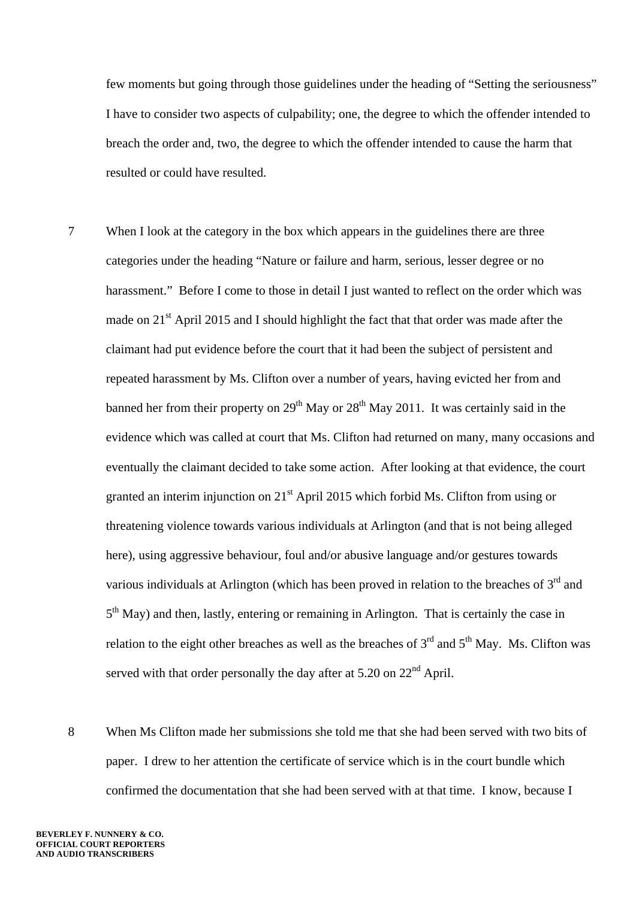few moments but going through those guidelines under the heading of "Setting the seriousness" I have to consider two aspects of culpability; one, the degree to which the offender intended to breach the order and, two, the degree to which the offender intended to cause the harm that resulted or could have resulted.

- 7 When I look at the category in the box which appears in the guidelines there are three categories under the heading "Nature or failure and harm, serious, lesser degree or no harassment." Before I come to those in detail I just wanted to reflect on the order which was made on 21<sup>st</sup> April 2015 and I should highlight the fact that that order was made after the claimant had put evidence before the court that it had been the subject of persistent and repeated harassment by Ms. Clifton over a number of years, having evicted her from and banned her from their property on  $29<sup>th</sup>$  May or  $28<sup>th</sup>$  May 2011. It was certainly said in the evidence which was called at court that Ms. Clifton had returned on many, many occasions and eventually the claimant decided to take some action. After looking at that evidence, the court granted an interim injunction on  $21<sup>st</sup>$  April 2015 which forbid Ms. Clifton from using or threatening violence towards various individuals at Arlington (and that is not being alleged here), using aggressive behaviour, foul and/or abusive language and/or gestures towards various individuals at Arlington (which has been proved in relation to the breaches of  $3<sup>rd</sup>$  and  $5<sup>th</sup>$  May) and then, lastly, entering or remaining in Arlington. That is certainly the case in relation to the eight other breaches as well as the breaches of  $3<sup>rd</sup>$  and  $5<sup>th</sup>$  May. Ms. Clifton was served with that order personally the day after at  $5.20$  on  $22<sup>nd</sup>$  April.
- 8 When Ms Clifton made her submissions she told me that she had been served with two bits of paper. I drew to her attention the certificate of service which is in the court bundle which confirmed the documentation that she had been served with at that time. I know, because I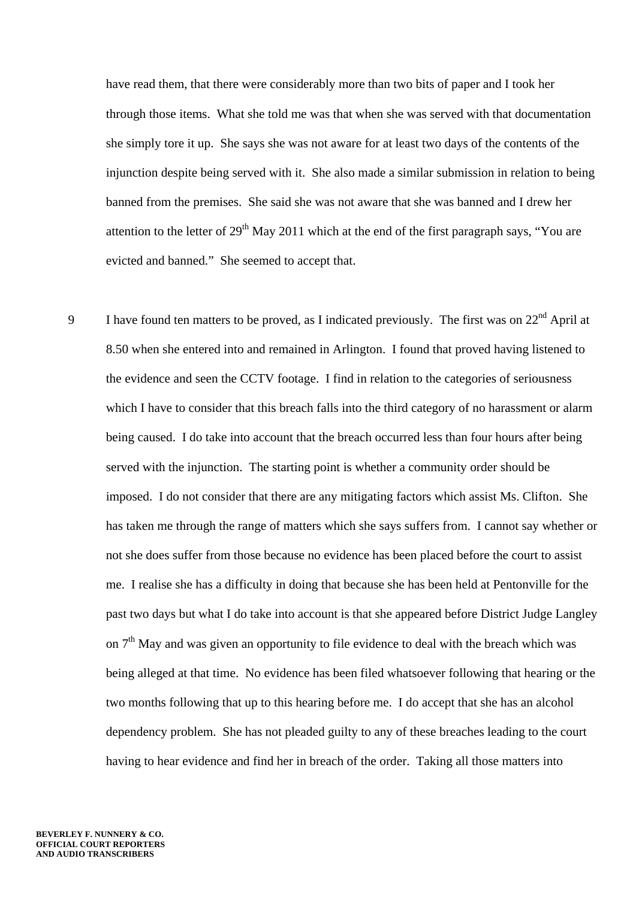have read them, that there were considerably more than two bits of paper and I took her through those items. What she told me was that when she was served with that documentation she simply tore it up. She says she was not aware for at least two days of the contents of the injunction despite being served with it. She also made a similar submission in relation to being banned from the premises. She said she was not aware that she was banned and I drew her attention to the letter of  $29<sup>th</sup>$  May 2011 which at the end of the first paragraph says, "You are evicted and banned." She seemed to accept that.

9 I have found ten matters to be proved, as I indicated previously. The first was on 22<sup>nd</sup> April at 8.50 when she entered into and remained in Arlington. I found that proved having listened to the evidence and seen the CCTV footage. I find in relation to the categories of seriousness which I have to consider that this breach falls into the third category of no harassment or alarm being caused. I do take into account that the breach occurred less than four hours after being served with the injunction. The starting point is whether a community order should be imposed. I do not consider that there are any mitigating factors which assist Ms. Clifton. She has taken me through the range of matters which she says suffers from. I cannot say whether or not she does suffer from those because no evidence has been placed before the court to assist me. I realise she has a difficulty in doing that because she has been held at Pentonville for the past two days but what I do take into account is that she appeared before District Judge Langley on  $7<sup>th</sup>$  May and was given an opportunity to file evidence to deal with the breach which was being alleged at that time. No evidence has been filed whatsoever following that hearing or the two months following that up to this hearing before me. I do accept that she has an alcohol dependency problem. She has not pleaded guilty to any of these breaches leading to the court having to hear evidence and find her in breach of the order. Taking all those matters into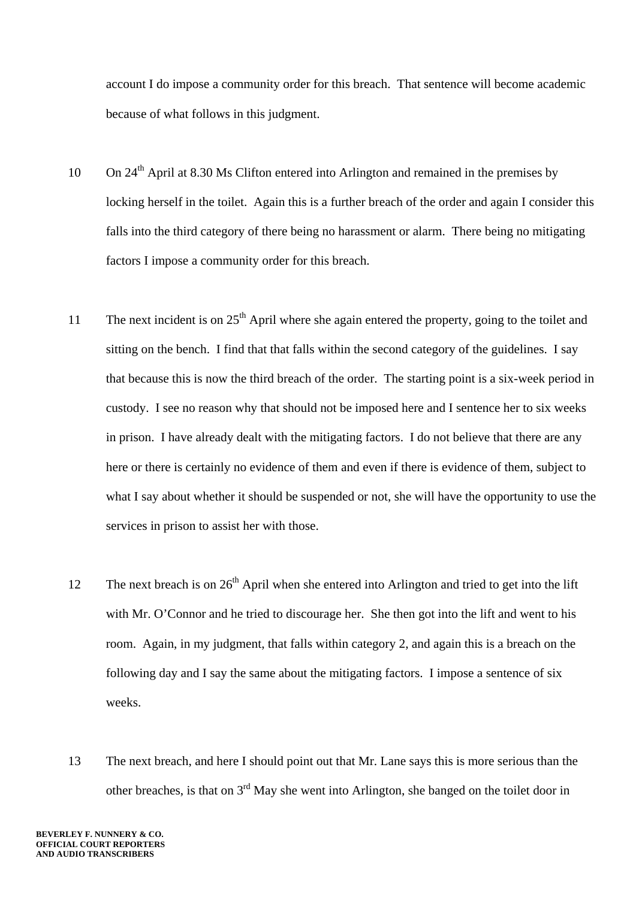account I do impose a community order for this breach. That sentence will become academic because of what follows in this judgment.

- 10 On  $24<sup>th</sup>$  April at 8.30 Ms Clifton entered into Arlington and remained in the premises by locking herself in the toilet. Again this is a further breach of the order and again I consider this falls into the third category of there being no harassment or alarm. There being no mitigating factors I impose a community order for this breach.
- 11 The next incident is on  $25<sup>th</sup>$  April where she again entered the property, going to the toilet and sitting on the bench. I find that that falls within the second category of the guidelines. I say that because this is now the third breach of the order. The starting point is a six-week period in custody. I see no reason why that should not be imposed here and I sentence her to six weeks in prison. I have already dealt with the mitigating factors. I do not believe that there are any here or there is certainly no evidence of them and even if there is evidence of them, subject to what I say about whether it should be suspended or not, she will have the opportunity to use the services in prison to assist her with those.
- 12 The next breach is on  $26<sup>th</sup>$  April when she entered into Arlington and tried to get into the lift with Mr. O'Connor and he tried to discourage her. She then got into the lift and went to his room. Again, in my judgment, that falls within category 2, and again this is a breach on the following day and I say the same about the mitigating factors. I impose a sentence of six weeks.
- 13 The next breach, and here I should point out that Mr. Lane says this is more serious than the other breaches, is that on 3rd May she went into Arlington, she banged on the toilet door in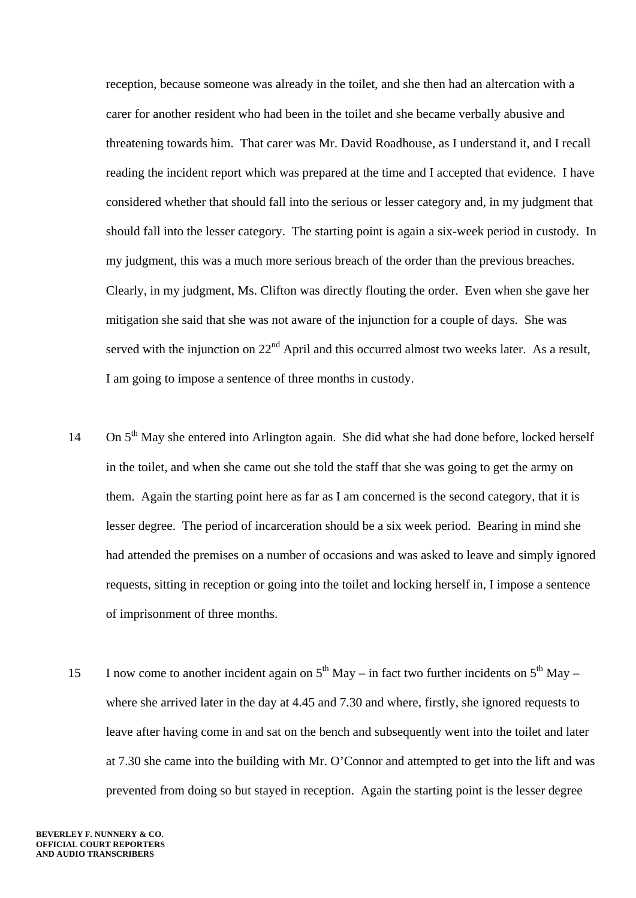reception, because someone was already in the toilet, and she then had an altercation with a carer for another resident who had been in the toilet and she became verbally abusive and threatening towards him. That carer was Mr. David Roadhouse, as I understand it, and I recall reading the incident report which was prepared at the time and I accepted that evidence. I have considered whether that should fall into the serious or lesser category and, in my judgment that should fall into the lesser category. The starting point is again a six-week period in custody. In my judgment, this was a much more serious breach of the order than the previous breaches. Clearly, in my judgment, Ms. Clifton was directly flouting the order. Even when she gave her mitigation she said that she was not aware of the injunction for a couple of days. She was served with the injunction on  $22<sup>nd</sup>$  April and this occurred almost two weeks later. As a result, I am going to impose a sentence of three months in custody.

- 14 On  $5<sup>th</sup>$  May she entered into Arlington again. She did what she had done before, locked herself in the toilet, and when she came out she told the staff that she was going to get the army on them. Again the starting point here as far as I am concerned is the second category, that it is lesser degree. The period of incarceration should be a six week period. Bearing in mind she had attended the premises on a number of occasions and was asked to leave and simply ignored requests, sitting in reception or going into the toilet and locking herself in, I impose a sentence of imprisonment of three months.
- 15 I now come to another incident again on  $5<sup>th</sup>$  May in fact two further incidents on  $5<sup>th</sup>$  May where she arrived later in the day at 4.45 and 7.30 and where, firstly, she ignored requests to leave after having come in and sat on the bench and subsequently went into the toilet and later at 7.30 she came into the building with Mr. O'Connor and attempted to get into the lift and was prevented from doing so but stayed in reception. Again the starting point is the lesser degree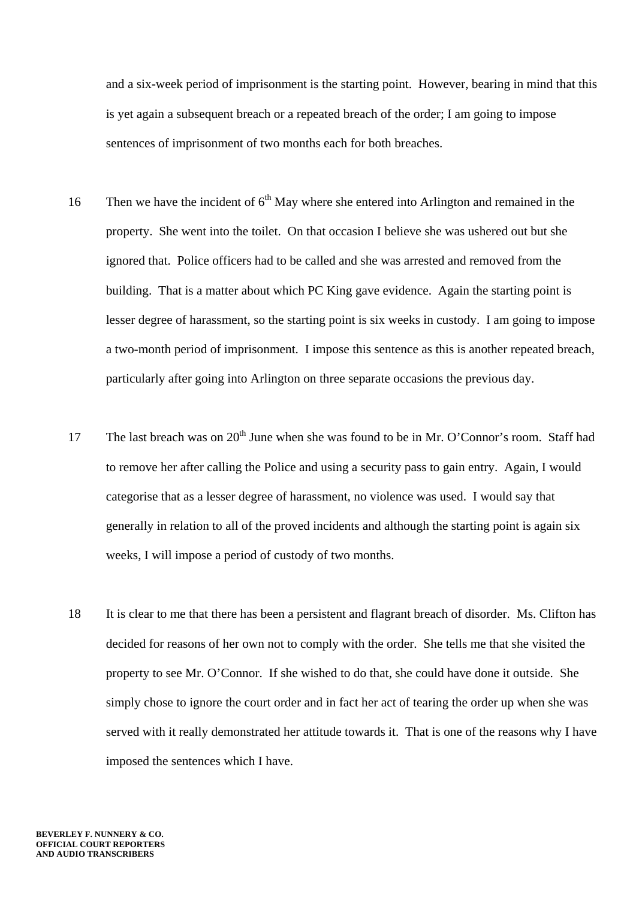and a six-week period of imprisonment is the starting point. However, bearing in mind that this is yet again a subsequent breach or a repeated breach of the order; I am going to impose sentences of imprisonment of two months each for both breaches.

- 16 Then we have the incident of  $6<sup>th</sup>$  May where she entered into Arlington and remained in the property. She went into the toilet. On that occasion I believe she was ushered out but she ignored that. Police officers had to be called and she was arrested and removed from the building. That is a matter about which PC King gave evidence. Again the starting point is lesser degree of harassment, so the starting point is six weeks in custody. I am going to impose a two-month period of imprisonment. I impose this sentence as this is another repeated breach, particularly after going into Arlington on three separate occasions the previous day.
- 17 The last breach was on  $20^{th}$  June when she was found to be in Mr. O'Connor's room. Staff had to remove her after calling the Police and using a security pass to gain entry. Again, I would categorise that as a lesser degree of harassment, no violence was used. I would say that generally in relation to all of the proved incidents and although the starting point is again six weeks, I will impose a period of custody of two months.
- 18 It is clear to me that there has been a persistent and flagrant breach of disorder. Ms. Clifton has decided for reasons of her own not to comply with the order. She tells me that she visited the property to see Mr. O'Connor. If she wished to do that, she could have done it outside. She simply chose to ignore the court order and in fact her act of tearing the order up when she was served with it really demonstrated her attitude towards it. That is one of the reasons why I have imposed the sentences which I have.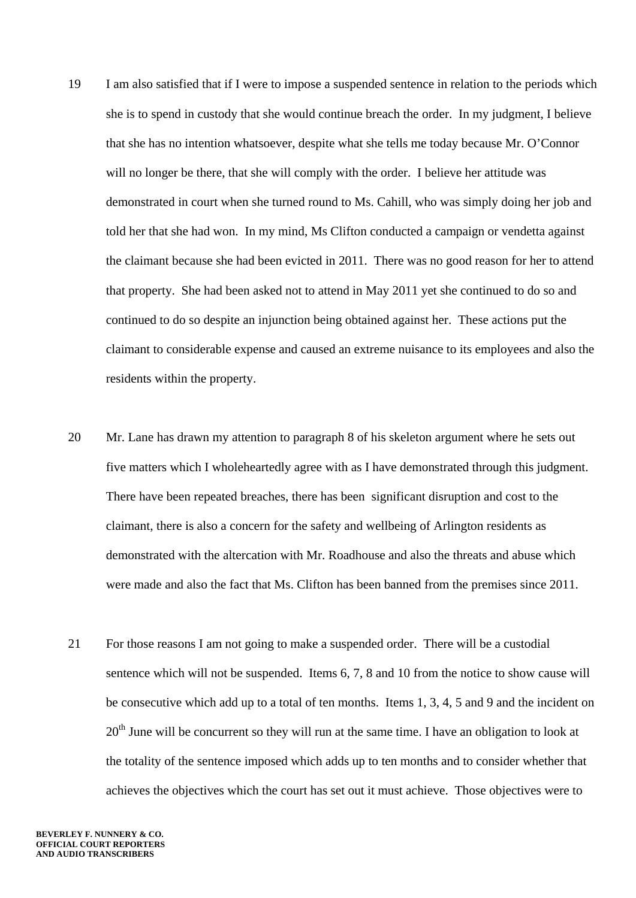- 19 I am also satisfied that if I were to impose a suspended sentence in relation to the periods which she is to spend in custody that she would continue breach the order. In my judgment, I believe that she has no intention whatsoever, despite what she tells me today because Mr. O'Connor will no longer be there, that she will comply with the order. I believe her attitude was demonstrated in court when she turned round to Ms. Cahill, who was simply doing her job and told her that she had won. In my mind, Ms Clifton conducted a campaign or vendetta against the claimant because she had been evicted in 2011. There was no good reason for her to attend that property. She had been asked not to attend in May 2011 yet she continued to do so and continued to do so despite an injunction being obtained against her. These actions put the claimant to considerable expense and caused an extreme nuisance to its employees and also the residents within the property.
- 20 Mr. Lane has drawn my attention to paragraph 8 of his skeleton argument where he sets out five matters which I wholeheartedly agree with as I have demonstrated through this judgment. There have been repeated breaches, there has been significant disruption and cost to the claimant, there is also a concern for the safety and wellbeing of Arlington residents as demonstrated with the altercation with Mr. Roadhouse and also the threats and abuse which were made and also the fact that Ms. Clifton has been banned from the premises since 2011.
- 21 For those reasons I am not going to make a suspended order. There will be a custodial sentence which will not be suspended. Items 6, 7, 8 and 10 from the notice to show cause will be consecutive which add up to a total of ten months. Items 1, 3, 4, 5 and 9 and the incident on  $20<sup>th</sup>$  June will be concurrent so they will run at the same time. I have an obligation to look at the totality of the sentence imposed which adds up to ten months and to consider whether that achieves the objectives which the court has set out it must achieve. Those objectives were to